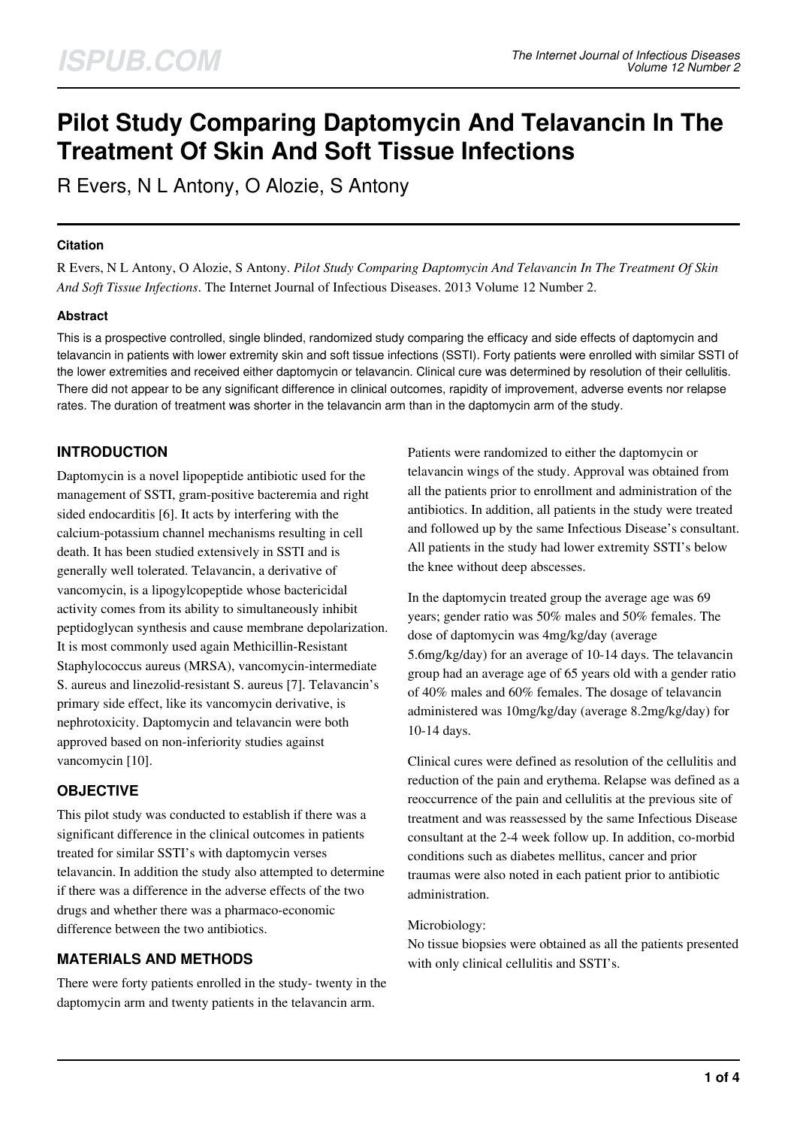# **Pilot Study Comparing Daptomycin And Telavancin In The Treatment Of Skin And Soft Tissue Infections**

R Evers, N L Antony, O Alozie, S Antony

## **Citation**

R Evers, N L Antony, O Alozie, S Antony. *Pilot Study Comparing Daptomycin And Telavancin In The Treatment Of Skin And Soft Tissue Infections*. The Internet Journal of Infectious Diseases. 2013 Volume 12 Number 2.

## **Abstract**

This is a prospective controlled, single blinded, randomized study comparing the efficacy and side effects of daptomycin and telavancin in patients with lower extremity skin and soft tissue infections (SSTI). Forty patients were enrolled with similar SSTI of the lower extremities and received either daptomycin or telavancin. Clinical cure was determined by resolution of their cellulitis. There did not appear to be any significant difference in clinical outcomes, rapidity of improvement, adverse events nor relapse rates. The duration of treatment was shorter in the telavancin arm than in the daptomycin arm of the study.

# **INTRODUCTION**

Daptomycin is a novel lipopeptide antibiotic used for the management of SSTI, gram-positive bacteremia and right sided endocarditis [6]. It acts by interfering with the calcium-potassium channel mechanisms resulting in cell death. It has been studied extensively in SSTI and is generally well tolerated. Telavancin, a derivative of vancomycin, is a lipogylcopeptide whose bactericidal activity comes from its ability to simultaneously inhibit peptidoglycan synthesis and cause membrane depolarization. It is most commonly used again Methicillin-Resistant Staphylococcus aureus (MRSA), vancomycin-intermediate S. aureus and linezolid-resistant S. aureus [7]. Telavancin's primary side effect, like its vancomycin derivative, is nephrotoxicity. Daptomycin and telavancin were both approved based on non-inferiority studies against vancomycin [10].

## **OBJECTIVE**

This pilot study was conducted to establish if there was a significant difference in the clinical outcomes in patients treated for similar SSTI's with daptomycin verses telavancin. In addition the study also attempted to determine if there was a difference in the adverse effects of the two drugs and whether there was a pharmaco-economic difference between the two antibiotics.

# **MATERIALS AND METHODS**

There were forty patients enrolled in the study- twenty in the daptomycin arm and twenty patients in the telavancin arm.

Patients were randomized to either the daptomycin or telavancin wings of the study. Approval was obtained from all the patients prior to enrollment and administration of the antibiotics. In addition, all patients in the study were treated and followed up by the same Infectious Disease's consultant. All patients in the study had lower extremity SSTI's below the knee without deep abscesses.

In the daptomycin treated group the average age was 69 years; gender ratio was 50% males and 50% females. The dose of daptomycin was 4mg/kg/day (average 5.6mg/kg/day) for an average of 10-14 days. The telavancin group had an average age of 65 years old with a gender ratio of 40% males and 60% females. The dosage of telavancin administered was 10mg/kg/day (average 8.2mg/kg/day) for 10-14 days.

Clinical cures were defined as resolution of the cellulitis and reduction of the pain and erythema. Relapse was defined as a reoccurrence of the pain and cellulitis at the previous site of treatment and was reassessed by the same Infectious Disease consultant at the 2-4 week follow up. In addition, co-morbid conditions such as diabetes mellitus, cancer and prior traumas were also noted in each patient prior to antibiotic administration.

#### Microbiology:

No tissue biopsies were obtained as all the patients presented with only clinical cellulitis and SSTI's.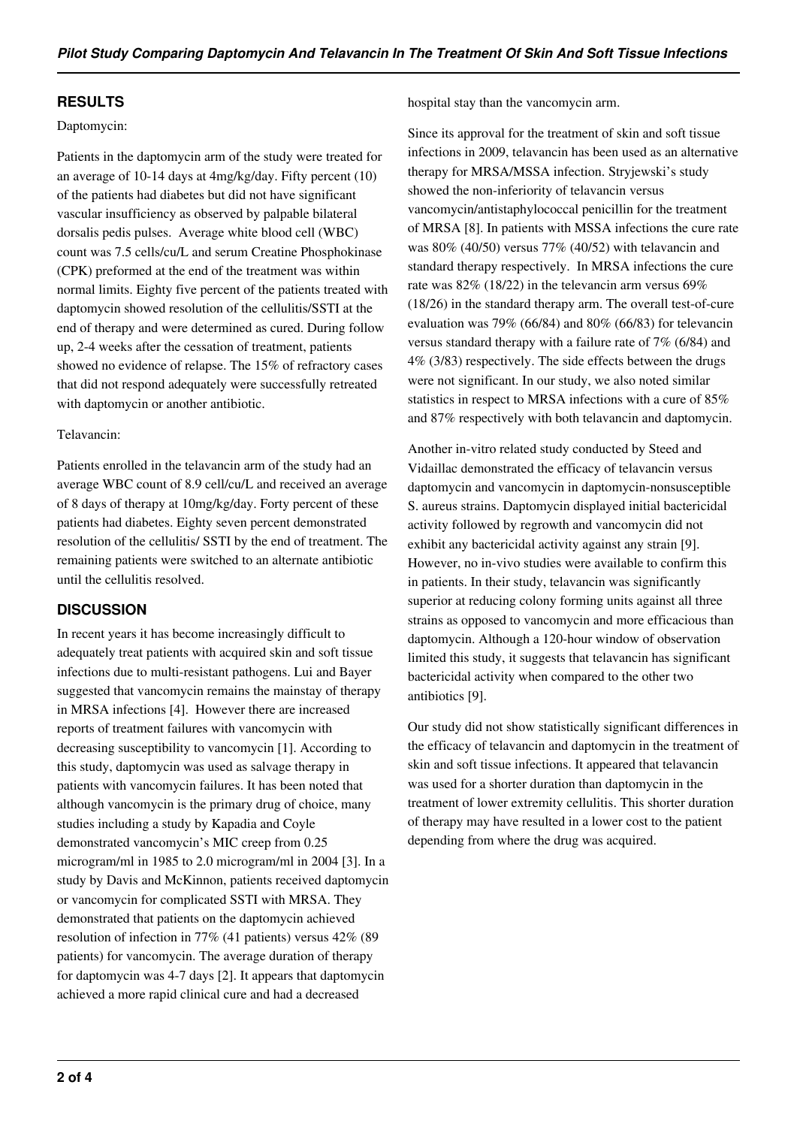## **RESULTS**

#### Daptomycin:

Patients in the daptomycin arm of the study were treated for an average of 10-14 days at 4mg/kg/day. Fifty percent (10) of the patients had diabetes but did not have significant vascular insufficiency as observed by palpable bilateral dorsalis pedis pulses. Average white blood cell (WBC) count was 7.5 cells/cu/L and serum Creatine Phosphokinase (CPK) preformed at the end of the treatment was within normal limits. Eighty five percent of the patients treated with daptomycin showed resolution of the cellulitis/SSTI at the end of therapy and were determined as cured. During follow up, 2-4 weeks after the cessation of treatment, patients showed no evidence of relapse. The 15% of refractory cases that did not respond adequately were successfully retreated with daptomycin or another antibiotic.

#### Telavancin:

Patients enrolled in the telavancin arm of the study had an average WBC count of 8.9 cell/cu/L and received an average of 8 days of therapy at 10mg/kg/day. Forty percent of these patients had diabetes. Eighty seven percent demonstrated resolution of the cellulitis/ SSTI by the end of treatment. The remaining patients were switched to an alternate antibiotic until the cellulitis resolved.

## **DISCUSSION**

In recent years it has become increasingly difficult to adequately treat patients with acquired skin and soft tissue infections due to multi-resistant pathogens. Lui and Bayer suggested that vancomycin remains the mainstay of therapy in MRSA infections [4]. However there are increased reports of treatment failures with vancomycin with decreasing susceptibility to vancomycin [1]. According to this study, daptomycin was used as salvage therapy in patients with vancomycin failures. It has been noted that although vancomycin is the primary drug of choice, many studies including a study by Kapadia and Coyle demonstrated vancomycin's MIC creep from 0.25 microgram/ml in 1985 to 2.0 microgram/ml in 2004 [3]. In a study by Davis and McKinnon, patients received daptomycin or vancomycin for complicated SSTI with MRSA. They demonstrated that patients on the daptomycin achieved resolution of infection in 77% (41 patients) versus 42% (89 patients) for vancomycin. The average duration of therapy for daptomycin was 4-7 days [2]. It appears that daptomycin achieved a more rapid clinical cure and had a decreased

hospital stay than the vancomycin arm.

Since its approval for the treatment of skin and soft tissue infections in 2009, telavancin has been used as an alternative therapy for MRSA/MSSA infection. Stryjewski's study showed the non-inferiority of telavancin versus vancomycin/antistaphylococcal penicillin for the treatment of MRSA [8]. In patients with MSSA infections the cure rate was 80% (40/50) versus 77% (40/52) with telavancin and standard therapy respectively. In MRSA infections the cure rate was 82% (18/22) in the televancin arm versus 69% (18/26) in the standard therapy arm. The overall test-of-cure evaluation was 79% (66/84) and 80% (66/83) for televancin versus standard therapy with a failure rate of 7% (6/84) and 4% (3/83) respectively. The side effects between the drugs were not significant. In our study, we also noted similar statistics in respect to MRSA infections with a cure of 85% and 87% respectively with both telavancin and daptomycin.

Another in-vitro related study conducted by Steed and Vidaillac demonstrated the efficacy of telavancin versus daptomycin and vancomycin in daptomycin-nonsusceptible S. aureus strains. Daptomycin displayed initial bactericidal activity followed by regrowth and vancomycin did not exhibit any bactericidal activity against any strain [9]. However, no in-vivo studies were available to confirm this in patients. In their study, telavancin was significantly superior at reducing colony forming units against all three strains as opposed to vancomycin and more efficacious than daptomycin. Although a 120-hour window of observation limited this study, it suggests that telavancin has significant bactericidal activity when compared to the other two antibiotics [9].

Our study did not show statistically significant differences in the efficacy of telavancin and daptomycin in the treatment of skin and soft tissue infections. It appeared that telavancin was used for a shorter duration than daptomycin in the treatment of lower extremity cellulitis. This shorter duration of therapy may have resulted in a lower cost to the patient depending from where the drug was acquired.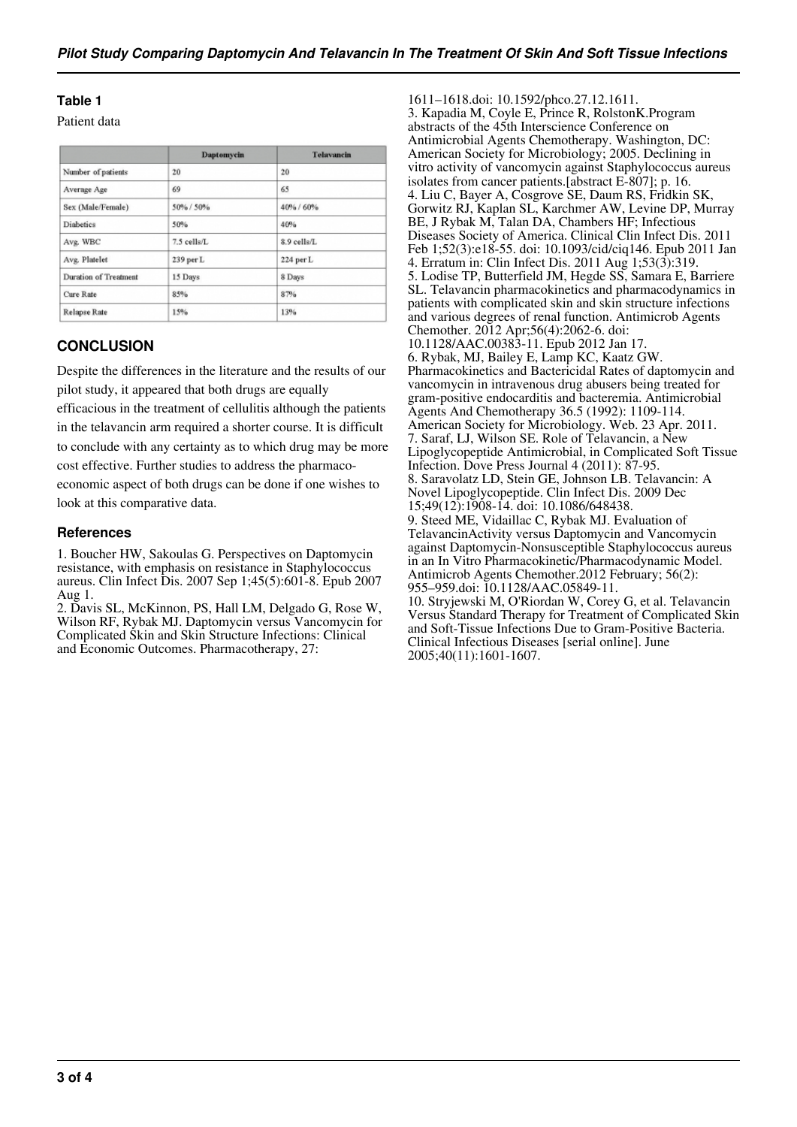## **Table 1**

Patient data

|                       | Daptomycin  | <b>Telavancin</b> |
|-----------------------|-------------|-------------------|
| Number of patients    | 20          | 20                |
| Average Age           | 69          | 65                |
| Sex (Male/Female)     | 50% / 50%   | 40% / 60%         |
| <b>Diabetics</b>      | 50%         | 40%               |
| Avg. WBC              | 7.5 cells/L | 8.9 cells/L       |
| Avg. Platelet         | 239 per L   | 224 per L         |
| Duration of Treatment | 15 Days     | 8 Days            |
| Cure Rate             | 85%         | 87%               |
| <b>Relapse Rate</b>   | 15%         | 13%               |

## **CONCLUSION**

Despite the differences in the literature and the results of our pilot study, it appeared that both drugs are equally

efficacious in the treatment of cellulitis although the patients in the telavancin arm required a shorter course. It is difficult to conclude with any certainty as to which drug may be more cost effective. Further studies to address the pharmaco-

economic aspect of both drugs can be done if one wishes to look at this comparative data.

#### **References**

1. Boucher HW, Sakoulas G. Perspectives on Daptomycin resistance, with emphasis on resistance in Staphylococcus aureus. Clin Infect Dis. 2007 Sep 1;45(5):601-8. Epub 2007 Aug 1.

2. Davis SL, McKinnon, PS, Hall LM, Delgado G, Rose W, Wilson RF, Rybak MJ. Daptomycin versus Vancomycin for Complicated Skin and Skin Structure Infections: Clinical and Economic Outcomes. Pharmacotherapy, 27:

1611–1618.doi: 10.1592/phco.27.12.1611. 3. Kapadia M, Coyle E, Prince R, RolstonK.Program abstracts of the 45th Interscience Conference on Antimicrobial Agents Chemotherapy. Washington, DC: American Society for Microbiology; 2005. Declining in vitro activity of vancomycin against Staphylococcus aureus isolates from cancer patients.[abstract E-807]; p. 16. 4. Liu C, Bayer A, Cosgrove SE, Daum RS, Fridkin SK, Gorwitz RJ, Kaplan SL, Karchmer AW, Levine DP, Murray BE, J Rybak M, Talan DA, Chambers HF; Infectious Diseases Society of America. Clinical Clin Infect Dis. 2011 Feb 1;52(3):e18-55. doi: 10.1093/cid/ciq146. Epub 2011 Jan 4. Erratum in: Clin Infect Dis. 2011 Aug 1;53(3):319. 5. Lodise TP, Butterfield JM, Hegde SS, Samara E, Barriere SL. Telavancin pharmacokinetics and pharmacodynamics in patients with complicated skin and skin structure infections and various degrees of renal function. Antimicrob Agents Chemother. 2012 Apr;56(4):2062-6. doi: 10.1128/AAC.00383-11. Epub 2012 Jan 17. 6. Rybak, MJ, Bailey E, Lamp KC, Kaatz GW. Pharmacokinetics and Bactericidal Rates of daptomycin and vancomycin in intravenous drug abusers being treated for gram-positive endocarditis and bacteremia. Antimicrobial Agents And Chemotherapy 36.5 (1992): 1109-114. American Society for Microbiology. Web. 23 Apr. 2011. 7. Saraf, LJ, Wilson SE. Role of Telavancin, a New Lipoglycopeptide Antimicrobial, in Complicated Soft Tissue Infection. Dove Press Journal 4 (2011): 87-95. 8. Saravolatz LD, Stein GE, Johnson LB. Telavancin: A Novel Lipoglycopeptide. Clin Infect Dis. 2009 Dec 15;49(12):1908-14. doi: 10.1086/648438. 9. Steed ME, Vidaillac C, Rybak MJ. Evaluation of TelavancinActivity versus Daptomycin and Vancomycin against Daptomycin-Nonsusceptible Staphylococcus aureus in an In Vitro Pharmacokinetic/Pharmacodynamic Model. Antimicrob Agents Chemother.2012 February; 56(2): 955–959.doi: 10.1128/AAC.05849-11. 10. Stryjewski M, O'Riordan W, Corey G, et al. Telavancin Versus Standard Therapy for Treatment of Complicated Skin and Soft-Tissue Infections Due to Gram-Positive Bacteria. Clinical Infectious Diseases [serial online]. June

2005;40(11):1601-1607.